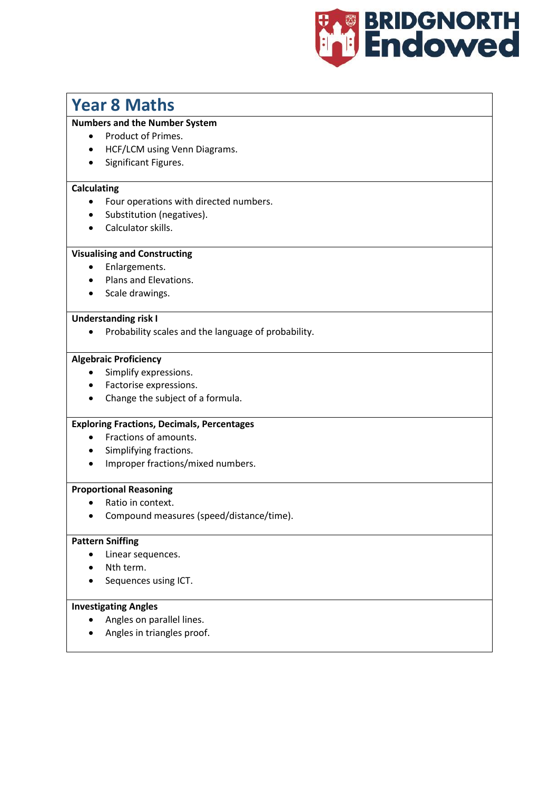

# **Year 8 Maths**

## **Numbers and the Number System**

- Product of Primes.
- HCF/LCM using Venn Diagrams.
- Significant Figures.

## **Calculating**

- Four operations with directed numbers.
- Substitution (negatives).
- Calculator skills.

# **Visualising and Constructing**

- Enlargements.
- Plans and Elevations.
- Scale drawings.

#### **Understanding risk I**

• Probability scales and the language of probability.

## **Algebraic Proficiency**

- Simplify expressions.
- Factorise expressions.
- Change the subject of a formula.

#### **Exploring Fractions, Decimals, Percentages**

- Fractions of amounts.
- Simplifying fractions.
- Improper fractions/mixed numbers.

#### **Proportional Reasoning**

- Ratio in context.
- Compound measures (speed/distance/time).

#### **Pattern Sniffing**

- Linear sequences.
- Nth term.
- Sequences using ICT.

#### **Investigating Angles**

- Angles on parallel lines.
- Angles in triangles proof.